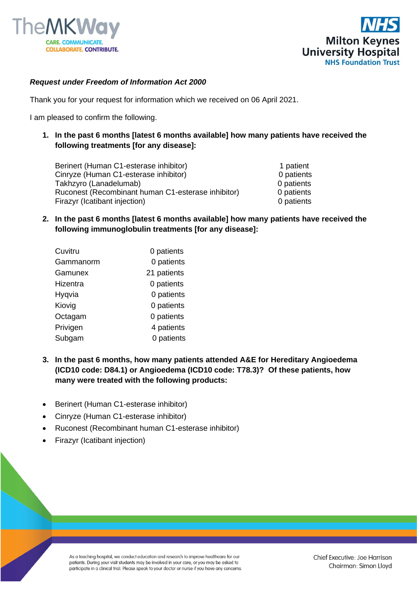



## *Request under Freedom of Information Act 2000*

Thank you for your request for information which we received on 06 April 2021.

I am pleased to confirm the following.

**1. In the past 6 months [latest 6 months available] how many patients have received the following treatments [for any disease]:**

Berinert (Human C1-esterase inhibitor) 1 patient Cinryze (Human C1-esterase inhibitor) 0 patients Takhzyro (Lanadelumab) 0 patients Ruconest (Recombinant human C1-esterase inhibitor) 0 patients Firazyr (Icatibant injection) 0 patients

**2. In the past 6 months [latest 6 months available] how many patients have received the following immunoglobulin treatments [for any disease]:**

| Cuvitru   | 0 patients  |
|-----------|-------------|
| Gammanorm | 0 patients  |
| Gamunex   | 21 patients |
| Hizentra  | 0 patients  |
| Hygvia    | 0 patients  |
| Kiovig    | 0 patients  |
| Octagam   | 0 patients  |
| Privigen  | 4 patients  |
| Subgam    | 0 patients  |

- **3. In the past 6 months, how many patients attended A&E for Hereditary Angioedema (ICD10 code: D84.1) or Angioedema (ICD10 code: T78.3)? Of these patients, how many were treated with the following products:**
- Berinert (Human C1-esterase inhibitor)
- Cinryze (Human C1-esterase inhibitor)
- Ruconest (Recombinant human C1-esterase inhibitor)
- Firazyr (Icatibant injection)

As a teaching hospital, we conduct education and research to improve healthcare for our patients. During your visit students may be involved in your care, or you may be asked to participate in a clinical trial. Please speak to your doctor or nurse if you have any concerns.